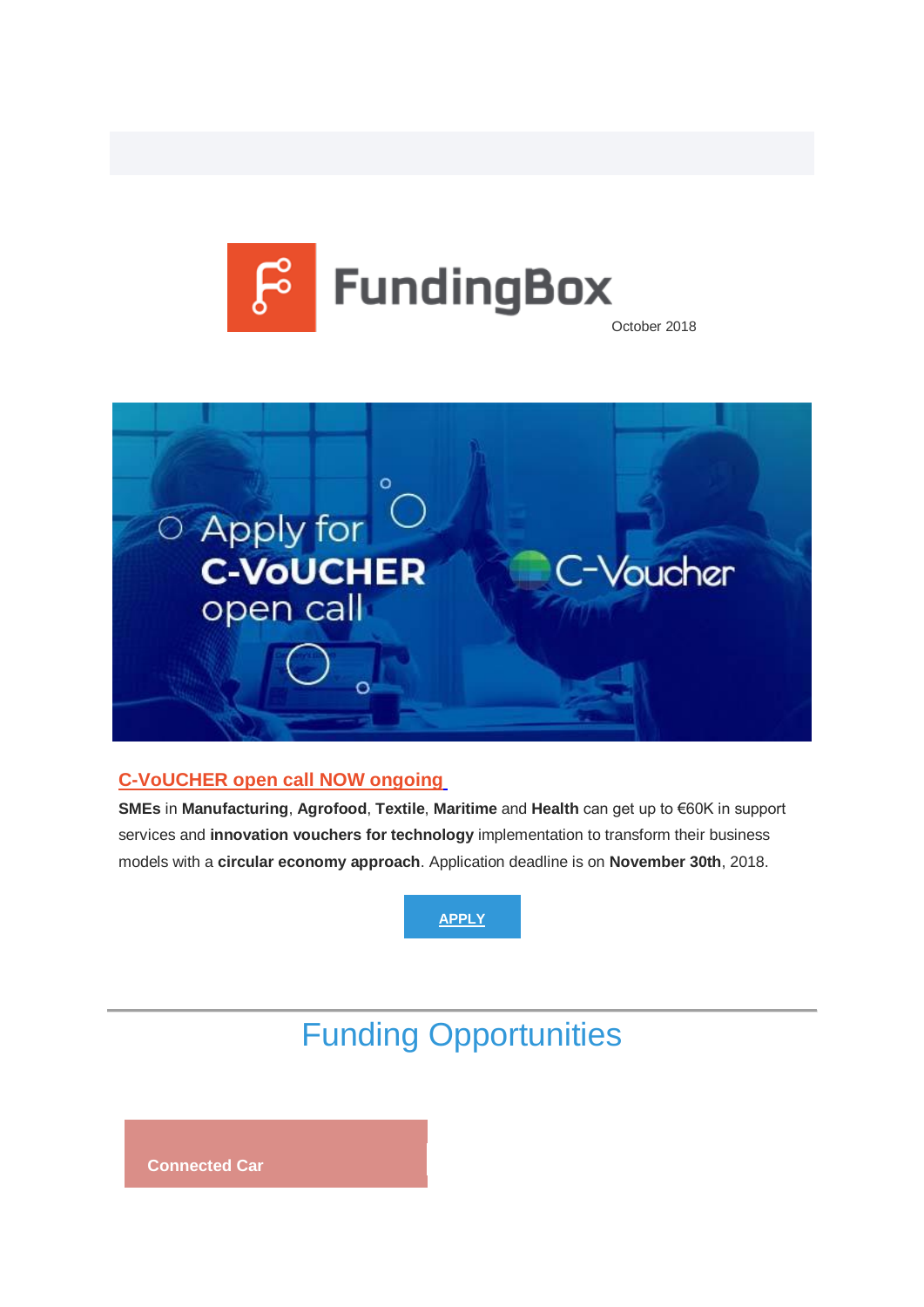



### **[C-VoUCHER open call NOW ongoing](https://u2286381.ct.sendgrid.net/wf/click?upn=mdDnUxz21EQ34gJm0gdHe4AHdZom9FdRB6QpQI6yqfUqDOnkMvRQN1cO5Ec5rnNWYEwcCQldOCkK1OkvZHsZGAT6qYBuExLk20rVu6jBOSqSOnrC5EuHOlVGSWrFyr-2BhjsXVTKRT7QzF-2BsNbVI8IHW4oyK-2F6fnUSh-2B8PxtQRqW83S5icr62ul-2FzDNuav3F0QdHbD3A3DYpL-2F3ALPCEEARQhuc3SEqzdyUafKAnLjNyUd7-2F0mdPXaC6DTB3387WCurIphcXbqIUiY2fzsrz1K7OVG2ZSJSwZWjThXn7DIV1P4Iyw3xd25bszgcqp4ghcz_b2G3giq3pkDl0bszzoW5ZkX7OhDUk3cfui5b4JGXqldyUwoHd3lEGg7ukGXaoSCB5z5OxnO-2FduyvXDNsr4pmZnlZDxhndvlp0t-2FJGRonnb19nvoIC-2Bvd0HqDa2uzzQKoYzK6WFyPQShQzs7rrrmnM3sfMOuZqjXySWNXs-2FIE9RUmZklOgArxw1Ilw22WthET2-2FrElgrBzs61sC8-2BAIok-2FqwhkY88zVM-2F02bpO3cO64Y5Ta1aedvydHRRJbqUgvteC0yu-2BV2-2Bcd6xywYODmnloYCtTYF80v-2FSMMHAJW-2F-2BHGkylnmkYADUC8kZaknlN8gSr-2BOVa7RfmIU8eHt7ODkuuyKg5gWoX9tGFxueaJnA8szsZn7aJO-2FlZDuHs6Kx0Hgi3qtCv-2FxdsN0XJiuriZd-2BfOLZui7woxGNmQF1tFYJSQxXZZs8k-2FecS07zCDEhpCMb)**

**SMEs** in **Manufacturing**, **Agrofood**, **Textile**, **Maritime** and **Health** can get up to €60K in support services and **innovation vouchers for technology** implementation to transform their business models with a **circular economy approach**. Application deadline is on **November 30th**, 2018.



# Funding Opportunities

**Connected Car**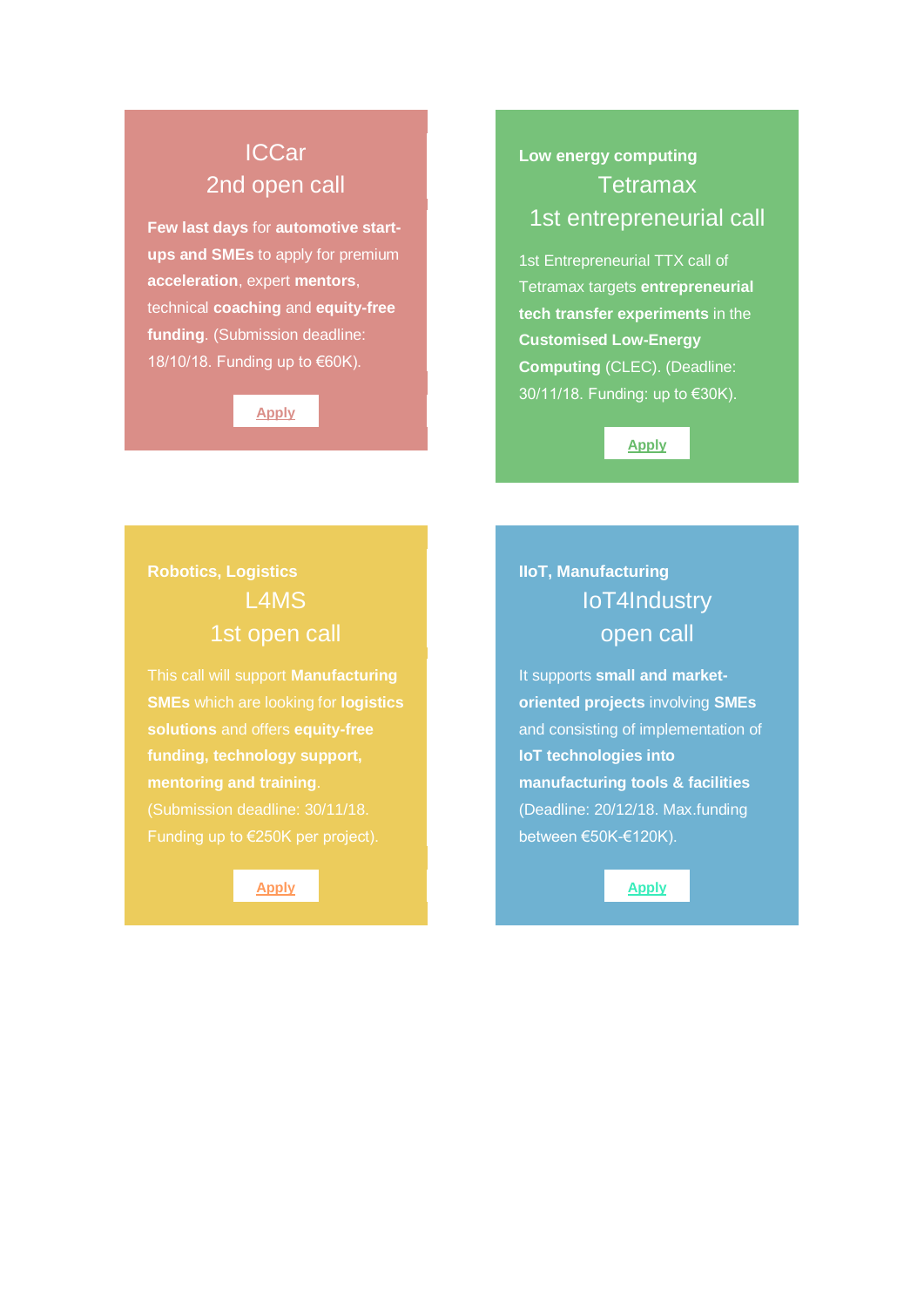## ICCar 2nd open call

**Few last days** for **automotive startups and SMEs** to apply for premium **acceleration**, expert **mentors**, technical **coaching** and **equity-free funding**. (Submission deadline: 18/10/18. Funding up to €60K).

#### **[Apply](https://u2286381.ct.sendgrid.net/wf/click?upn=mdDnUxz21EQ34gJm0gdHexaSdYMNw-2FrHZATrOMjZteQyGhmDjL3wwvTZR0AcfZzQfX8UCNuIJ24BIBjAcMBwGMBHw2Bf8YhqFfLheiLJPR3skSVkAobelZ4tfpt3Kdzl20pt51cR-2FHgF-2F5HeOTaYsEPRW2-2FbrNWpfmrQIzG-2BWLsV37Dlcu5y-2F1fGCenQqyEXOsYoIyptynM5bZHIBxxbAFe0EcMfNPCD3l-2FQT8T0x6iKbeKQJ7A4T2fYuJvdZzM7Ayd-2BNpRsUfhzgZrzcMm2FItgFRtOQ6nrWR-2FJKMmWjKHbDklhbX8hLv-2FpbZj7dYP4_b2G3giq3pkDl0bszzoW5ZkX7OhDUk3cfui5b4JGXqldyUwoHd3lEGg7ukGXaoSCB5z5OxnO-2FduyvXDNsr4pmZnlZDxhndvlp0t-2FJGRonnb19nvoIC-2Bvd0HqDa2uzzQKoYzK6WFyPQShQzs7rrrmnM3sfMOuZqjXySWNXs-2FIE9RUmZklOgArxw1Ilw22WthET2-2FrElgrBzs61sC8-2BAIok-2FqwhkY88zVM-2F02bpO3cO64bOLnRYXJ-2FmhKzrduX7XmAs7QtYABkOLtx9Xfer3j-2B5wX-2F5IFD9xiR1s4srNqgnX1BYd1S-2BojfNJ-2FqKHdyI7MZJQTR8RURVRcGb6F-2BszxeU3TbOt7LeodrwgE-2B9z6QAGjSrobgatBiJjIFbaAwZR1ZYJx9tKL3v3ppd5l1vsekxJfJONgqKo6nx1Y6ISU3nlB9DZefHEyW0md-2BLyOeDVMR3)**

## **Low energy computing Tetramax** 1st entrepreneurial call

1st Entrepreneurial TTX call of Tetramax targets **entrepreneurial tech transfer experiments** in the **Customised Low-Energy Computing** (CLEC). (Deadline: 30/11/18. Funding: up to €30K).

**[Apply](https://u2286381.ct.sendgrid.net/wf/click?upn=mdDnUxz21EQ34gJm0gdHe-2FplvZthYSGSEDiALXFA8aqkVab7SBihuTIuzED7O4XK2QA8qi0krX2t8yz5doFZdfoqJSbgVNz-2BFvsORG0Qn70nvQ7UtOJJsVj5dA7YnT2C0WjdLw1dp2bWF3SnN0qKkQg6QGPVusfq3uB402La1Bz6iSaU8U7ILg5pW-2BTac02pcl9hVEFMR52bXQXVkN8abqEcqyEwWr-2BgCLckWEcoLoZN-2Fv67cGOW3MW6iJA5xinuawo6TYQWIZeEjajs-2BBOsyQ-2FhDVTvnrlcD1MLOdfpu1AnF1suK6KJjvWbu-2FzKrYw8_b2G3giq3pkDl0bszzoW5ZkX7OhDUk3cfui5b4JGXqldyUwoHd3lEGg7ukGXaoSCB5z5OxnO-2FduyvXDNsr4pmZnlZDxhndvlp0t-2FJGRonnb19nvoIC-2Bvd0HqDa2uzzQKoYzK6WFyPQShQzs7rrrmnM3sfMOuZqjXySWNXs-2FIE9RUmZklOgArxw1Ilw22WthET2-2FrElgrBzs61sC8-2BAIok-2FqwhkY88zVM-2F02bpO3cO64YaBo3VGZ8oUO-2BisQ2deKh1nw6otHBLHCUvEOBkcjobKUm0Zp6iGPqExLrCFmsREEfZDC-2BdkpiTBQBdRKu7PfbcNZdG116rOAQGxWzr5K0pOc0s6Pacmy9nGJcIJjaFSXgjGgryy6pI3-2F3kpgp26gH8YkZ4qDWC18rIv6x-2Bu7wi43kxPtO8DXl130eUJwU6GQJS9vAx9B-2BSG9RJxV-2Fa1Wmd)**

## **Robotics, Logistics** L4MS 1st open call

**SMEs** which are looking for **logistics funding, technology support, mentoring and training**. (Submission deadline: 30/11/18.

**[Apply](https://u2286381.ct.sendgrid.net/wf/click?upn=mdDnUxz21EQ34gJm0gdHe4-2BBkGWQ9RTe5BDwjmWwGAaJat1BRMvx1A-2FMVwVkJYhEfcjUvx-2BEjglHIylu-2BkyK35Dmip1lm-2FGTAOECoQ5FJVI6ygTMolea01FtOkRyHJEAcc9yrSsvnhFyUV9BklP76ZRxB8kJBZabY-2BnPLwQFdxwxFX-2FCa8GQ-2FZ9-2FPUmN4-2FCQZCiBXdXKUpjpPNLO0L1-2FYrkrPymOGeRoX3h3KCSMVZ4O76spmnrWuxF35IubLYaJEnxUkJJxiWrZv11e7xbxKN4gLNT3Jacq5kIbnF2B5b5DkJ6YrqG-2BJq3LvXRb7oUf_b2G3giq3pkDl0bszzoW5ZkX7OhDUk3cfui5b4JGXqldyUwoHd3lEGg7ukGXaoSCB5z5OxnO-2FduyvXDNsr4pmZnlZDxhndvlp0t-2FJGRonnb19nvoIC-2Bvd0HqDa2uzzQKoYzK6WFyPQShQzs7rrrmnM3sfMOuZqjXySWNXs-2FIE9RUmZklOgArxw1Ilw22WthET2-2FrElgrBzs61sC8-2BAIok-2FqwhkY88zVM-2F02bpO3cO64YkWetko78dLcyK4bcYPm7jwg0v2mAUFDdVO8bfpRks-2FN6l6XaKZIlx1JlduLAywdwlkm4LuxYmw76E6A2wno57v6mDPr0qpSgxkRBEOo5B5-2BlymQalb1o1twzSBqwnoPDJDbI5lfcKWplVPhrFRObW5mw5yqbsyqpNb5lo19Mgla5JmT9VUtRhzdHnsPOVUYtNNGVqOJfB5vCNaNW-2BvjB6)**

## **IIoT, Manufacturing** IoT4Industry open call

It supports **small and marketoriented projects** involving **SMEs** and consisting of implementation of **IoT technologies into manufacturing tools & facilities** (Deadline: 20/12/18. Max.funding between €50K-€120K).

**[Apply](https://u2286381.ct.sendgrid.net/wf/click?upn=mdDnUxz21EQ34gJm0gdHe2Q1MhN7LU5vpLDtquBk60ff2m0zlf6pVJVKrEbUo8S-2FhCZbw2kTwuHGHSgpkdwnPr-2BwH0l7s-2FvcFPmNCHFg9EswN-2FUnbTVy27zOyfase6CY18DGQiQWnQ7qR-2F68RE8OUMn4Zq7CcdCjNoJHBgoQUA7M0z9s-2FnWN2TxhdSgqVfa-2F8CSy4Ih7bP4FiN8mR82Zi09QCDvhsbtaDQ2r-2BeFeZ8eoU-2BoQuIqv9mp-2BzbE3Gr21SM8ShTqinw4Q3j9ChdxY6iwB-2FBIA9YcyW0G7owibPAyCmXZQgGfeKYpWbu7lyuui3uhAFFZfLhbM3ISBoHNxBw-3D-3D_b2G3giq3pkDl0bszzoW5ZkX7OhDUk3cfui5b4JGXqldyUwoHd3lEGg7ukGXaoSCB5z5OxnO-2FduyvXDNsr4pmZnlZDxhndvlp0t-2FJGRonnb19nvoIC-2Bvd0HqDa2uzzQKoYzK6WFyPQShQzs7rrrmnM3sfMOuZqjXySWNXs-2FIE9RUmZklOgArxw1Ilw22WthET2-2FrElgrBzs61sC8-2BAIok-2FqwhkY88zVM-2F02bpO3cO64b-2FKYF6If-2F6Cw5cL61uc69QAWDA7dT8-2BNkRpxEB85O0eku5n160vbQnEahgdYfrHaOH2pK9gby5Y15czGK4A1MIv7y8-2F3AdqlO85UmdEJ7ZN6Vo3hC83r5vRgkkbC05WS8RrG2ho0mOD89jXdfQZWkXgKntLXcCb306HJQUHVEutugrQhA-2FeCxz8BZ3gwno0Njur0cNCpwpGS2g-2BEk5mk9e)**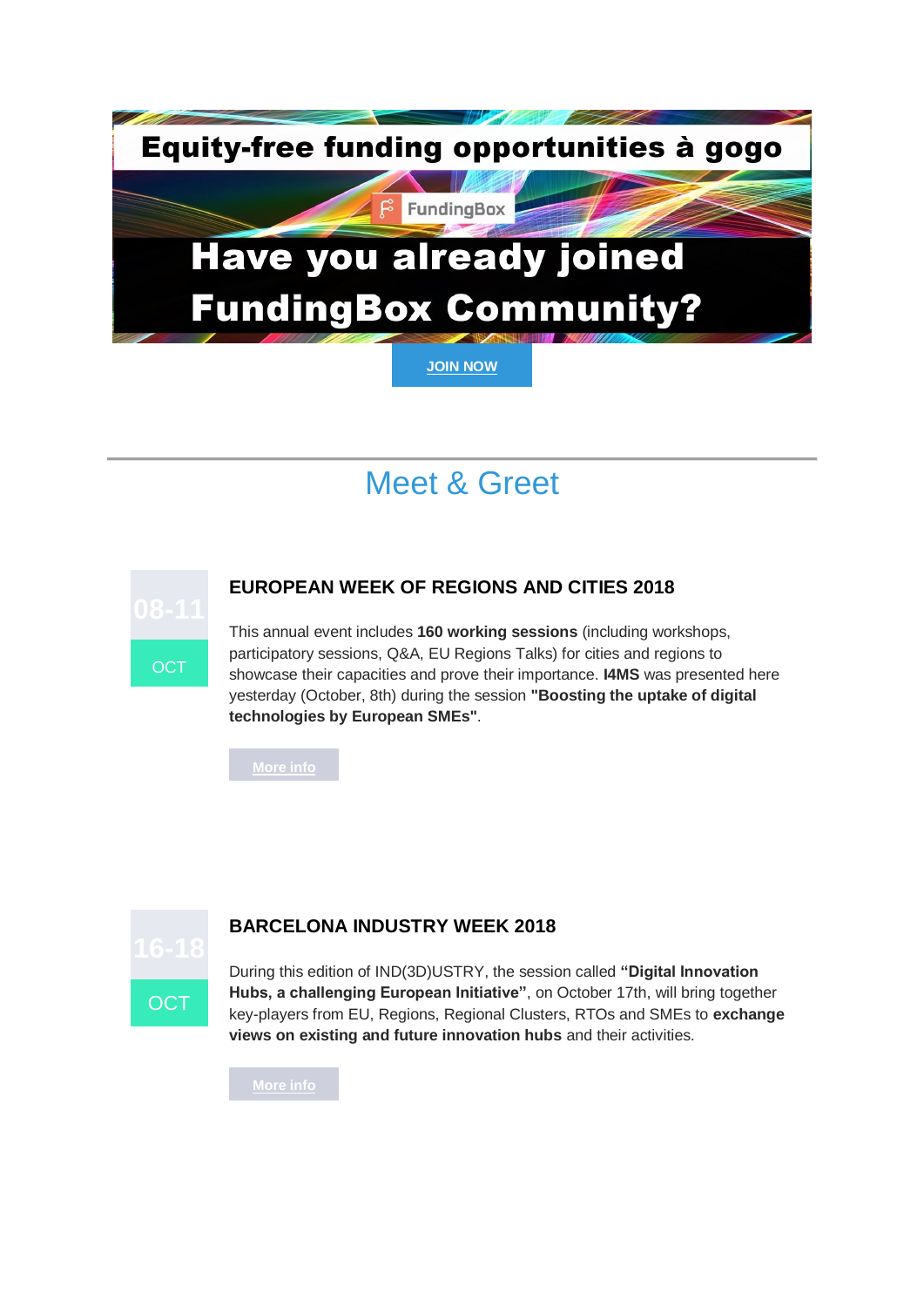

# Meet & Greet



### **EUROPEAN WEEK OF REGIONS AND CITIES 2018**

**BARCELONA INDUSTRY WEEK 2018**

This annual event includes **160 working sessions** (including workshops, participatory sessions, Q&A, EU Regions Talks) for cities and regions to showcase their capacities and prove their importance. **I4MS** was presented here yesterday (October, 8th) during the session **"Boosting the uptake of digital technologies by European SMEs"**.

**[More info](https://u2286381.ct.sendgrid.net/wf/click?upn=mdDnUxz21EQ34gJm0gdHewulS6WtOILWGJuu-2BqS8iTzVfuAtD8baLm8J2ySnKqTAlBiZ0ZKtESxXnJ-2BfhbLlAP5yRc4DvDa5jfT5sUxSseXxxOC7JHEq7Ji9ID900p8eQQeaYolQQrMDtqatWQxg987By-2FgkIp-2FpqVYSknp1vZUKBfBb8zsfxLPnv-2FC39h3MB2hNuy5sac9WuPxJDZfInIHOVf2zCDA9S0EEIVc8KMjZqCnXsWum-2BSFhU00knQ1IfapnNdopN4VJiAVrOnfsGGXVq1VCblAMwdVrT1Wxe0zWikqbuxsJtJ4AKzJ9rSIJ_b2G3giq3pkDl0bszzoW5ZkX7OhDUk3cfui5b4JGXqldyUwoHd3lEGg7ukGXaoSCB5z5OxnO-2FduyvXDNsr4pmZnlZDxhndvlp0t-2FJGRonnb19nvoIC-2Bvd0HqDa2uzzQKoYzK6WFyPQShQzs7rrrmnM3sfMOuZqjXySWNXs-2FIE9RUmZklOgArxw1Ilw22WthET2-2FrElgrBzs61sC8-2BAIok-2FqwhkY88zVM-2F02bpO3cO64Ys-2FfsnITE6UAgZas4vsZ1t-2BsUEmHQh3mPPWdzSZsT6Z6Jragg4yLz3AFqVs0-2FFEJDsUdRZ-2Bu7fgkgEPprfI0UQMW3RQSEHjdwDBZE9uB158-2BtXvQJTuddBkG7fRFLvRHHRX4MZMJcUQRki11tSOzCLbu2cIyjmzs6nhn3LyJXnwia5fvVGjzGxDo5RS0t3ktnOEKG5WbWgkz0Dpi0-2BJxdj)**



During this edition of IND(3D)USTRY, the session called **"Digital Innovation Hubs, a challenging European Initiative"**, on October 17th, will bring together key-players from EU, Regions, Regional Clusters, RTOs and SMEs to **exchange views on existing and future innovation hubs** and their activities.

**[More info](https://u2286381.ct.sendgrid.net/wf/click?upn=Ycz0Bb1yYVt-2BFm8-2F3wY8t4w3qwAI-2BIgErsRthOr0EGSQvR1FLW3QhELXp8f9dktWw251gmgyfmp6-2FnECuuTNpwckDUvM4bde3SOli68DOi4EmEbtcHcxA1eypPrX1yLT1oTcVBgLhrmXgwmuvQFmhx5iARHYBe5wTS2XLyaxe-2FqZ0bhGiNBE3n-2BP4vzOYSau9zJpkhEq1aRH-2F0c-2BDTHtnlvs7M0pqNj6WROFNKl-2BfTKulozkG76K3nD2-2BT9y-2FPBD8RFdzpJwN8l-2BIIM6ZCCyjz1VdY2x1ruVfcomi5Sr0xc5SMrLShF-2BLuDO-2B2a4Dq4M_b2G3giq3pkDl0bszzoW5ZkX7OhDUk3cfui5b4JGXqldyUwoHd3lEGg7ukGXaoSCB5z5OxnO-2FduyvXDNsr4pmZnlZDxhndvlp0t-2FJGRonnb19nvoIC-2Bvd0HqDa2uzzQKoYzK6WFyPQShQzs7rrrmnM3sfMOuZqjXySWNXs-2FIE9RUmZklOgArxw1Ilw22WthET2-2FrElgrBzs61sC8-2BAIok-2FqwhkY88zVM-2F02bpO3cO64a-2BpmmPj6deDLoklsvce9Ufrf1BJ2cZfg9APmPgeOAEw1-2FacnmrGQfK-2BJN1Jmz5Wtl-2FTfr5xGfcTDHWoNSI8fOQZcp0dgIZDaimUvwtSsbHVm0EFCWECEufsZEoTC2tz4kH8bdicny4MW6vVjz0KE6JbAj-2FT31zPL5kEh2x6j7R-2Fyqq-2BmgjfzXJIMwLLDmeoGrzmShUolvPxEVv0BBvl-2Bif)**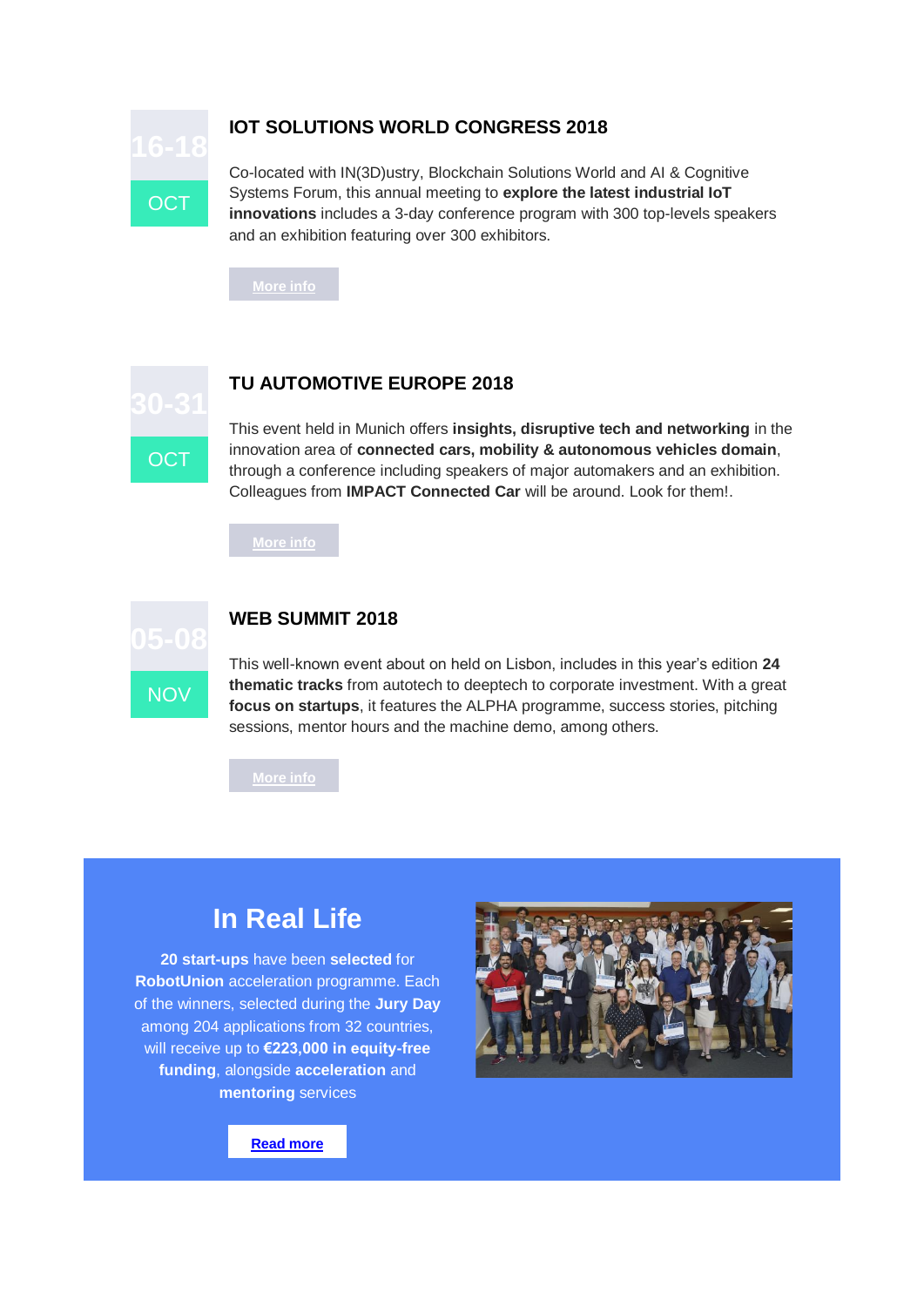

### **IOT SOLUTIONS WORLD CONGRESS 2018**

Co-located with IN(3D)ustry, Blockchain Solutions World and AI & Cognitive Systems Forum, this annual meeting to **explore the latest industrial IoT innovations** includes a 3-day conference program with 300 top-levels speakers and an exhibition featuring over 300 exhibitors.

**[More info](https://u2286381.ct.sendgrid.net/wf/click?upn=mdDnUxz21EQ34gJm0gdHe4xmW2Y9FnhJwJ1URHsKuPxiwKZgtR8nUdnr5FoXtyc1hzykQ27MCiMx30B9hwxNUBesMG0YNteqzBjt9HfAFAF-2B7KvYrevVVcUcQJLrqH1HpLu5vartA3UD9NVTQKOT48ufr80BK2eCzZMyEIL83YA7XPu96-2F9HIju30edW3Wg6HCps4hXq8k34PbLnmZevsUm24tpGpeqfol5xSAjylkRPfZmD8QBeC7-2Bo2qtQ4Rhollu6v6M5Ml-2B2CAzw8Nze80-2BLNc6iQoccGjhFhsOHoRxoFddyCed2WSNcp84qRCdL_b2G3giq3pkDl0bszzoW5ZkX7OhDUk3cfui5b4JGXqldyUwoHd3lEGg7ukGXaoSCB5z5OxnO-2FduyvXDNsr4pmZnlZDxhndvlp0t-2FJGRonnb19nvoIC-2Bvd0HqDa2uzzQKoYzK6WFyPQShQzs7rrrmnM3sfMOuZqjXySWNXs-2FIE9RUmZklOgArxw1Ilw22WthET2-2FrElgrBzs61sC8-2BAIok-2FqwhkY88zVM-2F02bpO3cO64b7dJM2kolnoVAb9dkno763pjoMDv3MPWr-2B243UqeGqxNHkuMOWlQ7RmBwMVpbRW3rRNUQsxN1pRqnJOlh8Wzuy1zsiDWAV686u63CqPxY0dkf8-2BZZd0EcxHco4zC8asNkhrRaeAm3pHW5Uo09i-2FF9t5t0tvAMozv5PZW5gA7U1rIr7IrBqgOGjcjg96R-2BQ-2BovLNtNTOPnq7-2BWFtNqmcqVL)**



### **TU AUTOMOTIVE EUROPE 2018**

This event held in Munich offers **insights, disruptive tech and networking** in the innovation area of **connected cars, mobility & autonomous vehicles domain**, through a conference including speakers of major automakers and an exhibition. Colleagues from **IMPACT Connected Car** will be around. Look for them!.

**[More info](https://u2286381.ct.sendgrid.net/wf/click?upn=mdDnUxz21EQ34gJm0gdHe01fIf1aEKwcaYJo3v2U-2FjLFEzq41aXeAdE63UrIqKL7LHLBBfeFP63EdLIM-2FvzSPNes1Pu-2FafNhAkP-2BILD9oy43qlTdGE8rEf8qqN4cYUT1dq8aGIMhgUzAFnZz1RWzAAB-2FLkxP3uTuqX7SUGefGOi8hLSvtvn0-2BZfdMFmLITPRkAS3Y-2BDxJQD5gMX76-2FeC-2F-2BD7uy5jCsi5w1amJGthdlUHWHHZfK-2FOmWE5STpNoBriBhEUHdKQsSvAU5rHtYogTrVRLGTnYyvUSFxDSLf8Y7KaubYLmWlUpBO0Z-2BVPaP-2F3_b2G3giq3pkDl0bszzoW5ZkX7OhDUk3cfui5b4JGXqldyUwoHd3lEGg7ukGXaoSCB5z5OxnO-2FduyvXDNsr4pmZnlZDxhndvlp0t-2FJGRonnb19nvoIC-2Bvd0HqDa2uzzQKoYzK6WFyPQShQzs7rrrmnM3sfMOuZqjXySWNXs-2FIE9RUmZklOgArxw1Ilw22WthET2-2FrElgrBzs61sC8-2BAIok-2FqwhkY88zVM-2F02bpO3cO64bY9D7U8LDFNtLHW4qZusQY1kqgXmKXc9ja7TOZisFC1FgLGacDTtGlwunEPIhiXzdcJqi7oOhEQS5cyNYfVIR1qTdxiJM8rSJ7B2wCJwTCCkXaDacTRSvqrPBKg9n6SUZv4lgn2k0siGEQuiGHCb0OPUp2e8FVq8IolwR6GXZn0-2Fq3R0h69Ky-2Bxg3xvQJ70WeoPKJj9jz90vM7B6qf7mEZ)**



#### **WEB SUMMIT 2018**

This well-known event about on held on Lisbon, includes in this year's edition **24 thematic tracks** from autotech to deeptech to corporate investment. With a great **focus on startups**, it features the ALPHA programme, success stories, pitching sessions, mentor hours and the machine demo, among others.

**[More info](https://u2286381.ct.sendgrid.net/wf/click?upn=mdDnUxz21EQ34gJm0gdHe9euSDtnp9ERJeqS7w8uCAsfZA-2BeC-2B8mABxzR4EWJyYCi8K1Ui090ELgtQUxenxFr9Tv-2B6dLy1vv9i7g2NSHfR4xW92OssotUH2U9ITOFWA4r6jdEvPvx-2B7ewHX3mrsazF1BHXY65HDFpjVBUxQwrjNJ6Uty5DipeZU54GSpicQWDN9ymvrQAKNNMrf7UbPP2UPcR5bewjwCcb1YJlIx-2Fc7UrmmA58yVJZ2TOn-2FhT6LZ7lAGK5ufPQBmZsF8zl7ab3445dc31KuyWzQPdp8ohP0-3D_b2G3giq3pkDl0bszzoW5ZkX7OhDUk3cfui5b4JGXqldyUwoHd3lEGg7ukGXaoSCB5z5OxnO-2FduyvXDNsr4pmZnlZDxhndvlp0t-2FJGRonnb19nvoIC-2Bvd0HqDa2uzzQKoYzK6WFyPQShQzs7rrrmnM3sfMOuZqjXySWNXs-2FIE9RUmZklOgArxw1Ilw22WthET2-2FrElgrBzs61sC8-2BAIok-2FqwhkY88zVM-2F02bpO3cO64Y8ROqkKCUgOC3E2u4r9Uit2ShzCG7D5Fl70-2FFwkFatgW5T60dEwzWDdvWIvAWQjaWx3DnPwMdU2-2B1Z0xSdlBngvkvDchCYi4aRFoSUfpRbP4-2B2IzgmiDLXVpvzb15XYlNhJnAHFrTTx-2FGHcz1fLhLss-2F08srqog8JL-2FNfseUTM-2FiJbxLTexGBgdvLC9lOMlSqIC6NGIeBmhoDb1TL3qSG7)**

## **In Real Life**

**20 start-ups** have been **selected** for **RobotUnion** acceleration programme. Each of the winners, selected during the **Jury Day** among 204 applications from 32 countries, will receive up to **€223,000 in equity-free funding**, alongside **acceleration** and **mentoring** services



**[Read more](https://u2286381.ct.sendgrid.net/wf/click?upn=mdDnUxz21EQ34gJm0gdHexBZsLC5XlsVlEW5Nw4IJqMS3AYPZOkwuSbaVC9XDI4EKBtCYgq5QUUYLDT7SNoBWDTlHa-2FmkAMVoMq9kGPbczVc7-2BgdSRBqHjpN7Rp4fejOosjS76pTzoY6A9L03bxy26WTn-2BBvvFGBCn54AyxOqlIllhXm8IQEb3ooC727IjFcFR906f0QsxdpgkqFiqy5Iud9yG1c24xiD9Jq7eLYgWJPAbJj9SaJEkhkyOxlsBl2auFK9g5nBeRmhd65fvs6cpA6CEFS132iBUSZLWa6-2F13KdQxZj54swodfw26G8TicrUYRB-2FV05Sa0-2FD0o8qenAgk6JQFl1NqkRNJ9tpTUJ-2Fc-2BRKN1bT8D9Z4Me2pZ5Jv46JXOgSN4Hgom4Sw0zhCTCXAPjYzc-2Fng1GSGqd5vcv0A-3D_b2G3giq3pkDl0bszzoW5ZkX7OhDUk3cfui5b4JGXqldyUwoHd3lEGg7ukGXaoSCB5z5OxnO-2FduyvXDNsr4pmZnlZDxhndvlp0t-2FJGRonnb19nvoIC-2Bvd0HqDa2uzzQKoYzK6WFyPQShQzs7rrrmnM3sfMOuZqjXySWNXs-2FIE9RUmZklOgArxw1Ilw22WthET2-2FrElgrBzs61sC8-2BAIok-2FqwhkY88zVM-2F02bpO3cO64bDJZDNeMo-2BunZaROaxfFDqmZmHIFDvbKKaKlazERXDBZtju52XxzObtulJY2u2YsFjVg2vDzqBMo0ZMDU3wbrVAu2o74lPx9ZwWXeU7FtoArKRILbDtzN8x5h9K1dHM3ps1o330-2FSKsV68oQ5rAQOWbVUkGZlAAnO07F2nca0lYaQl-2BXTYGnrLYVHxI-2Bu-2BHSzCsyucxD8a-2BnRbBfrcfBzb)**